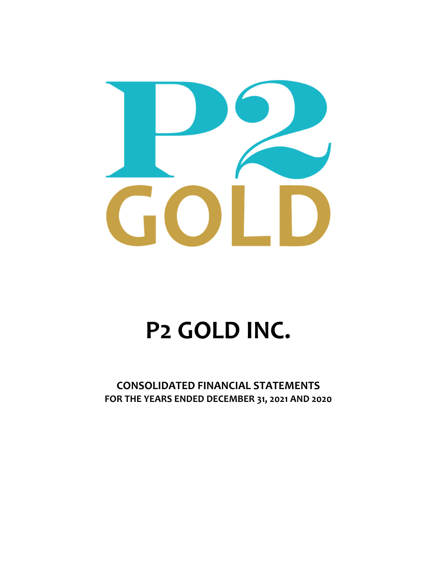

# **P2 GOLD INC.**

**CONSOLIDATED FINANCIAL STATEMENTS FOR THE YEARS ENDED DECEMBER 31, 2021 AND 2020**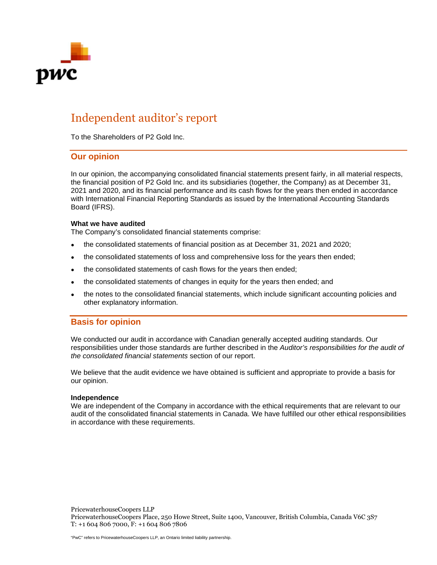

# Independent auditor's report

To the Shareholders of P2 Gold Inc.

#### **Our opinion**

In our opinion, the accompanying consolidated financial statements present fairly, in all material respects, the financial position of P2 Gold Inc. and its subsidiaries (together, the Company) as at December 31, 2021 and 2020, and its financial performance and its cash flows for the years then ended in accordance with International Financial Reporting Standards as issued by the International Accounting Standards Board (IFRS).

#### **What we have audited**

The Company's consolidated financial statements comprise:

- the consolidated statements of financial position as at December 31, 2021 and 2020;
- the consolidated statements of loss and comprehensive loss for the years then ended;
- the consolidated statements of cash flows for the years then ended;
- the consolidated statements of changes in equity for the years then ended; and
- the notes to the consolidated financial statements, which include significant accounting policies and other explanatory information.

# **Basis for opinion**

We conducted our audit in accordance with Canadian generally accepted auditing standards. Our responsibilities under those standards are further described in the *Auditor's responsibilities for the audit of the consolidated financial statements* section of our report.

We believe that the audit evidence we have obtained is sufficient and appropriate to provide a basis for our opinion.

#### **Independence**

We are independent of the Company in accordance with the ethical requirements that are relevant to our audit of the consolidated financial statements in Canada. We have fulfilled our other ethical responsibilities in accordance with these requirements.

PricewaterhouseCoopers LLP PricewaterhouseCoopers Place, 250 Howe Street, Suite 1400, Vancouver, British Columbia, Canada V6C 3S7 T: +1 604 806 7000, F: +1 604 806 7806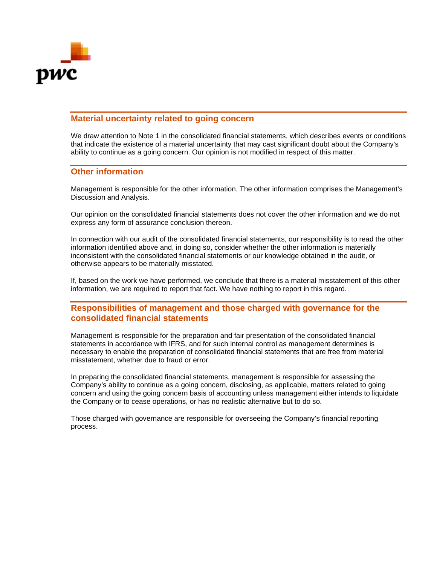

# **Material uncertainty related to going concern**

We draw attention to Note 1 in the consolidated financial statements, which describes events or conditions that indicate the existence of a material uncertainty that may cast significant doubt about the Company's ability to continue as a going concern. Our opinion is not modified in respect of this matter.

# **Other information**

Management is responsible for the other information. The other information comprises the Management's Discussion and Analysis.

Our opinion on the consolidated financial statements does not cover the other information and we do not express any form of assurance conclusion thereon.

In connection with our audit of the consolidated financial statements, our responsibility is to read the other information identified above and, in doing so, consider whether the other information is materially inconsistent with the consolidated financial statements or our knowledge obtained in the audit, or otherwise appears to be materially misstated.

If, based on the work we have performed, we conclude that there is a material misstatement of this other information, we are required to report that fact. We have nothing to report in this regard.

# **Responsibilities of management and those charged with governance for the consolidated financial statements**

Management is responsible for the preparation and fair presentation of the consolidated financial statements in accordance with IFRS, and for such internal control as management determines is necessary to enable the preparation of consolidated financial statements that are free from material misstatement, whether due to fraud or error.

In preparing the consolidated financial statements, management is responsible for assessing the Company's ability to continue as a going concern, disclosing, as applicable, matters related to going concern and using the going concern basis of accounting unless management either intends to liquidate the Company or to cease operations, or has no realistic alternative but to do so.

Those charged with governance are responsible for overseeing the Company's financial reporting process.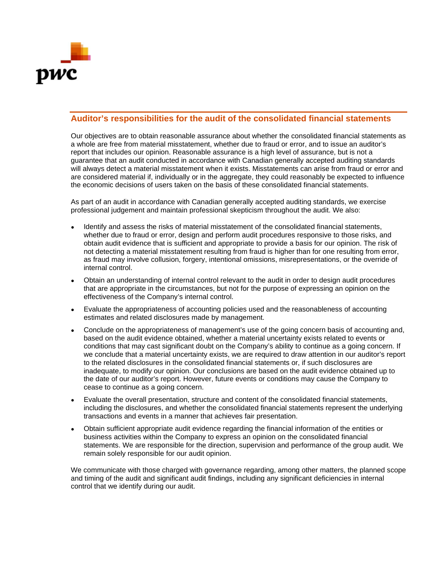

# **Auditor's responsibilities for the audit of the consolidated financial statements**

Our objectives are to obtain reasonable assurance about whether the consolidated financial statements as a whole are free from material misstatement, whether due to fraud or error, and to issue an auditor's report that includes our opinion. Reasonable assurance is a high level of assurance, but is not a guarantee that an audit conducted in accordance with Canadian generally accepted auditing standards will always detect a material misstatement when it exists. Misstatements can arise from fraud or error and are considered material if, individually or in the aggregate, they could reasonably be expected to influence the economic decisions of users taken on the basis of these consolidated financial statements.

As part of an audit in accordance with Canadian generally accepted auditing standards, we exercise professional judgement and maintain professional skepticism throughout the audit. We also:

- Identify and assess the risks of material misstatement of the consolidated financial statements, whether due to fraud or error, design and perform audit procedures responsive to those risks, and obtain audit evidence that is sufficient and appropriate to provide a basis for our opinion. The risk of not detecting a material misstatement resulting from fraud is higher than for one resulting from error, as fraud may involve collusion, forgery, intentional omissions, misrepresentations, or the override of internal control.
- Obtain an understanding of internal control relevant to the audit in order to design audit procedures that are appropriate in the circumstances, but not for the purpose of expressing an opinion on the effectiveness of the Company's internal control.
- Evaluate the appropriateness of accounting policies used and the reasonableness of accounting estimates and related disclosures made by management.
- Conclude on the appropriateness of management's use of the going concern basis of accounting and, based on the audit evidence obtained, whether a material uncertainty exists related to events or conditions that may cast significant doubt on the Company's ability to continue as a going concern. If we conclude that a material uncertainty exists, we are required to draw attention in our auditor's report to the related disclosures in the consolidated financial statements or, if such disclosures are inadequate, to modify our opinion. Our conclusions are based on the audit evidence obtained up to the date of our auditor's report. However, future events or conditions may cause the Company to cease to continue as a going concern.
- Evaluate the overall presentation, structure and content of the consolidated financial statements, including the disclosures, and whether the consolidated financial statements represent the underlying transactions and events in a manner that achieves fair presentation.
- Obtain sufficient appropriate audit evidence regarding the financial information of the entities or business activities within the Company to express an opinion on the consolidated financial statements. We are responsible for the direction, supervision and performance of the group audit. We remain solely responsible for our audit opinion.

We communicate with those charged with governance regarding, among other matters, the planned scope and timing of the audit and significant audit findings, including any significant deficiencies in internal control that we identify during our audit.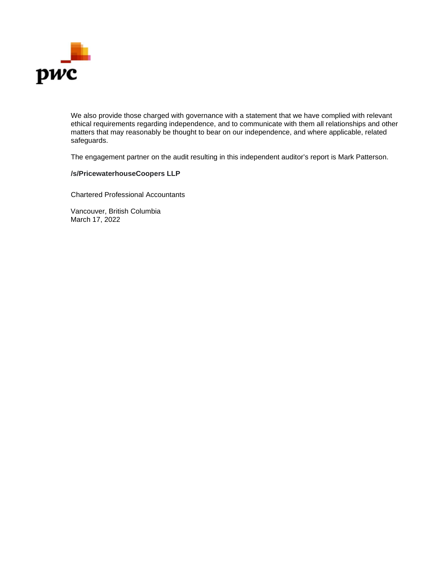

We also provide those charged with governance with a statement that we have complied with relevant ethical requirements regarding independence, and to communicate with them all relationships and other matters that may reasonably be thought to bear on our independence, and where applicable, related safeguards.

The engagement partner on the audit resulting in this independent auditor's report is Mark Patterson.

#### **/s/PricewaterhouseCoopers LLP**

Chartered Professional Accountants

Vancouver, British Columbia March 17, 2022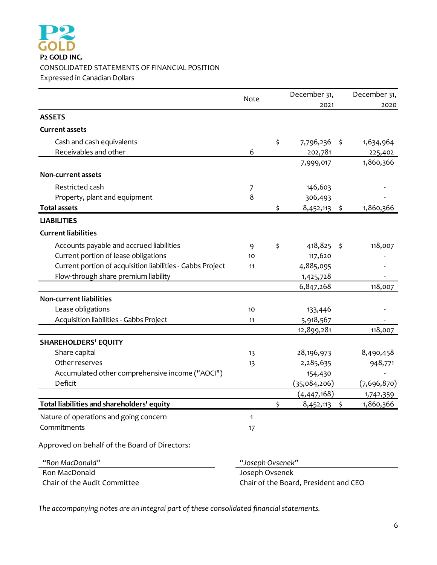

|                                                            | Note         |    | December 31,     | December 31, |  |
|------------------------------------------------------------|--------------|----|------------------|--------------|--|
|                                                            |              |    | 2021             | 2020         |  |
| <b>ASSETS</b>                                              |              |    |                  |              |  |
| <b>Current assets</b>                                      |              |    |                  |              |  |
| Cash and cash equivalents                                  |              | \$ | 7,796,236<br>-\$ | 1,634,964    |  |
| Receivables and other                                      | 6            |    | 202,781          | 225,402      |  |
|                                                            |              |    | 7,999,017        | 1,860,366    |  |
| <b>Non-current assets</b>                                  |              |    |                  |              |  |
| Restricted cash                                            | 7            |    | 146,603          |              |  |
| Property, plant and equipment                              | 8            |    | 306,493          |              |  |
| <b>Total assets</b>                                        |              | \$ | 8,452,113<br>\$  | 1,860,366    |  |
| <b>LIABILITIES</b>                                         |              |    |                  |              |  |
| <b>Current liabilities</b>                                 |              |    |                  |              |  |
| Accounts payable and accrued liabilities                   | 9            | \$ | 418,825<br>-\$   | 118,007      |  |
| Current portion of lease obligations                       | 10           |    | 117,620          |              |  |
| Current portion of acquisition liabilities - Gabbs Project | 11           |    | 4,885,095        |              |  |
| Flow-through share premium liability                       |              |    | 1,425,728        |              |  |
|                                                            |              |    | 6,847,268        | 118,007      |  |
| <b>Non-current liabilities</b>                             |              |    |                  |              |  |
| Lease obligations                                          | 10           |    | 133,446          |              |  |
| Acquisition liabilities - Gabbs Project                    | 11           |    | 5,918,567        |              |  |
|                                                            |              |    | 12,899,281       | 118,007      |  |
| <b>SHAREHOLDERS' EQUITY</b>                                |              |    |                  |              |  |
| Share capital                                              | 13           |    | 28,196,973       | 8,490,458    |  |
| Other reserves                                             | 13           |    | 2,285,635        | 948,771      |  |
| Accumulated other comprehensive income ("AOCI")            |              |    | 154,430          |              |  |
| Deficit                                                    |              |    | (35,084,206)     | (7,696,870)  |  |
|                                                            |              |    | (4, 447, 168)    | 1,742,359    |  |
| Total liabilities and shareholders' equity                 |              | \$ | 8,452,113<br>\$  | 1,860,366    |  |
| Nature of operations and going concern                     | $\mathbf{1}$ |    |                  |              |  |
| Commitments                                                | 17           |    |                  |              |  |
| Approved on behalf of the Board of Directors:              |              |    |                  |              |  |

| "Ron MacDonald"              | "Joseph Ovsenek"                      |
|------------------------------|---------------------------------------|
| Ron MacDonald                | Joseph Ovsenek                        |
| Chair of the Audit Committee | Chair of the Board, President and CEO |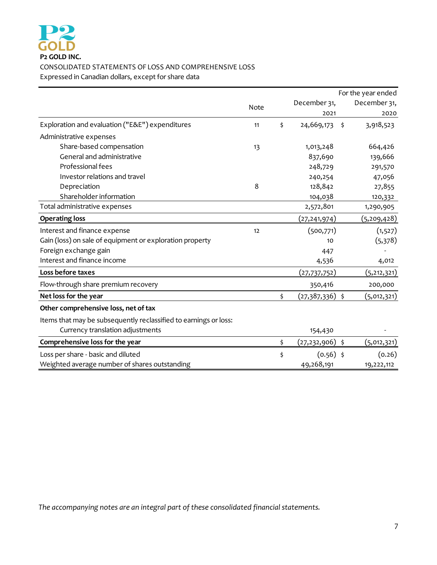|                                                                  |      |    |                    | For the year ended |  |
|------------------------------------------------------------------|------|----|--------------------|--------------------|--|
|                                                                  | Note |    | December 31,       | December 31,       |  |
|                                                                  |      |    | 2021               | 2020               |  |
| Exploration and evaluation ("E&E") expenditures                  | 11   | \$ | 24,669,173 \$      | 3,918,523          |  |
| Administrative expenses                                          |      |    |                    |                    |  |
| Share-based compensation                                         | 13   |    | 1,013,248          | 664,426            |  |
| General and administrative                                       |      |    | 837,690            | 139,666            |  |
| Professional fees                                                |      |    | 248,729            | 291,570            |  |
| Investor relations and travel                                    |      |    | 240,254            | 47,056             |  |
| Depreciation                                                     | 8    |    | 128,842            | 27,855             |  |
| Shareholder information                                          |      |    | 104,038            | 120,332            |  |
| Total administrative expenses                                    |      |    | 2,572,801          | 1,290,905          |  |
| <b>Operating loss</b>                                            |      |    | (27, 241, 974)     | (5,209,428)        |  |
| Interest and finance expense                                     | 12   |    | (500, 771)         | (1, 527)           |  |
| Gain (loss) on sale of equipment or exploration property         |      |    | 10                 | (5,378)            |  |
| Foreign exchange gain                                            |      |    | 447                |                    |  |
| Interest and finance income                                      |      |    | 4,536              | 4,012              |  |
| Loss before taxes                                                |      |    | (27,737,752)       | (5,212,321)        |  |
| Flow-through share premium recovery                              |      |    | 350,416            | 200,000            |  |
| Net loss for the year                                            |      | \$ | (27,387,336)<br>\$ | (5,012,321)        |  |
| Other comprehensive loss, net of tax                             |      |    |                    |                    |  |
| Items that may be subsequently reclassified to earnings or loss: |      |    |                    |                    |  |
| Currency translation adjustments                                 |      |    | 154,430            |                    |  |
| Comprehensive loss for the year                                  |      | \$ | (27,232,906)<br>\$ | (5,012,321)        |  |
| Loss per share - basic and diluted                               |      | \$ | $(0.56)$ \$        | (0.26)             |  |
| Weighted average number of shares outstanding                    |      |    | 49,268,191         | 19,222,112         |  |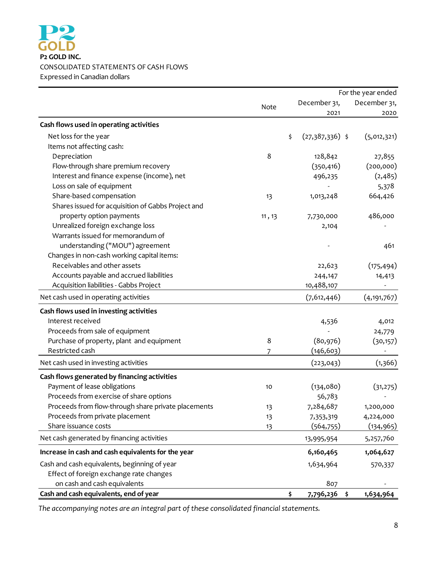

|                                                     |        |                         | For the year ended |
|-----------------------------------------------------|--------|-------------------------|--------------------|
|                                                     | Note   | December 31,            | December 31,       |
|                                                     |        | 2021                    | 2020               |
| Cash flows used in operating activities             |        |                         |                    |
| Net loss for the year                               |        | \$<br>$(27,387,336)$ \$ | (5,012,321)        |
| Items not affecting cash:                           |        |                         |                    |
| Depreciation                                        | 8      | 128,842                 | 27,855             |
| Flow-through share premium recovery                 |        | (350, 416)              | (200,000)          |
| Interest and finance expense (income), net          |        | 496,235                 | (2, 485)           |
| Loss on sale of equipment                           |        |                         | 5,378              |
| Share-based compensation                            | 13     | 1,013,248               | 664,426            |
| Shares issued for acquisition of Gabbs Project and  |        |                         |                    |
| property option payments                            | 11, 13 | 7,730,000               | 486,000            |
| Unrealized foreign exchange loss                    |        | 2,104                   |                    |
| Warrants issued for memorandum of                   |        |                         |                    |
| understanding ("MOU") agreement                     |        |                         | 461                |
| Changes in non-cash working capital items:          |        |                         |                    |
| Receivables and other assets                        |        | 22,623                  | (175, 494)         |
| Accounts payable and accrued liabilities            |        | 244,147                 | 14,413             |
| Acquisition liabilities - Gabbs Project             |        | 10,488,107              |                    |
| Net cash used in operating activities               |        | (7,612,446)             | (4, 191, 767)      |
| Cash flows used in investing activities             |        |                         |                    |
| Interest received                                   |        | 4,536                   | 4,012              |
| Proceeds from sale of equipment                     |        |                         | 24,779             |
| Purchase of property, plant and equipment           | 8      | (80, 976)               | (30, 157)          |
| Restricted cash                                     | 7      | (146,603)               |                    |
| Net cash used in investing activities               |        | (223, 043)              | (1, 366)           |
| Cash flows generated by financing activities        |        |                         |                    |
| Payment of lease obligations                        | 10     | (134,080)               | (31, 275)          |
| Proceeds from exercise of share options             |        | 56,783                  |                    |
| Proceeds from flow-through share private placements | 13     | 7,284,687               | 1,200,000          |
| Proceeds from private placement                     | 13     | 7,353,319               | 4,224,000          |
| Share issuance costs                                | 13     | (564, 755)              | (134, 965)         |
| Net cash generated by financing activities          |        | 13,995,954              | 5,257,760          |
| Increase in cash and cash equivalents for the year  |        | 6,160,465               | 1,064,627          |
| Cash and cash equivalents, beginning of year        |        | 1,634,964               | 570,337            |
| Effect of foreign exchange rate changes             |        |                         |                    |
| on cash and cash equivalents                        |        | 807                     |                    |
| Cash and cash equivalents, end of year              |        | \$<br>7,796,236<br>\$   | 1,634,964          |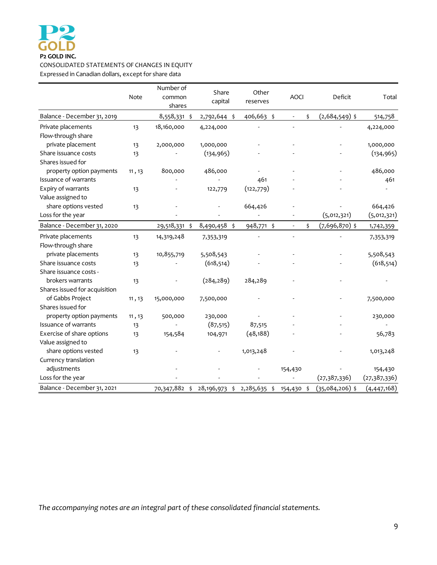# CONSOLIDATED STATEMENTS OF CHANGES IN EQUITY Expressed in Canadian dollars, except for share data

|                               | Note   | Number of<br>common<br>shares | Share<br>capital                                    | Other<br>reserves | <b>AOCI</b> | Deficit                | Total        |
|-------------------------------|--------|-------------------------------|-----------------------------------------------------|-------------------|-------------|------------------------|--------------|
| Balance - December 31, 2019   |        | 8,558,331 \$                  | 2,792,644 \$                                        | 406,663 \$        |             | $(2,684,549)$ \$<br>\$ | 514,758      |
| Private placements            | 13     | 18,160,000                    | 4,224,000                                           |                   |             |                        | 4,224,000    |
| Flow-through share            |        |                               |                                                     |                   |             |                        |              |
| private placement             | 13     | 2,000,000                     | 1,000,000                                           |                   |             |                        | 1,000,000    |
| Share issuance costs          | 13     |                               | (134, 965)                                          |                   |             |                        | (134, 965)   |
| Shares issued for             |        |                               |                                                     |                   |             |                        |              |
| property option payments      | 11, 13 | 800,000                       | 486,000                                             |                   |             |                        | 486,000      |
| Issuance of warrants          |        |                               |                                                     | 461               |             |                        | 461          |
| Expiry of warrants            | 13     |                               | 122,779                                             | (122, 779)        |             |                        |              |
| Value assigned to             |        |                               |                                                     |                   |             |                        |              |
| share options vested          | 13     |                               |                                                     | 664,426           |             |                        | 664,426      |
| Loss for the year             |        |                               |                                                     |                   |             | (5,012,321)            | (5,012,321)  |
| Balance - December 31, 2020   |        | 29,518,331 \$                 | 8,490,458 \$                                        | 948,771 \$        |             | $(7,696,870)$ \$<br>\$ | 1,742,359    |
| Private placements            | 13     | 14,319,248                    | 7,353,319                                           |                   |             |                        | 7,353,319    |
| Flow-through share            |        |                               |                                                     |                   |             |                        |              |
| private placements            | 13     | 10,855,719                    | 5,508,543                                           |                   |             |                        | 5,508,543    |
| Share issuance costs          | 13     |                               | (618, 514)                                          |                   |             |                        | (618, 514)   |
| Share issuance costs -        |        |                               |                                                     |                   |             |                        |              |
| brokers warrants              | 13     |                               | (284, 289)                                          | 284,289           |             |                        |              |
| Shares issued for acquisition |        |                               |                                                     |                   |             |                        |              |
| of Gabbs Project              | 11, 13 | 15,000,000                    | 7,500,000                                           |                   |             |                        | 7,500,000    |
| Shares issued for             |        |                               |                                                     |                   |             |                        |              |
| property option payments      | 11, 13 | 500,000                       | 230,000                                             |                   |             |                        | 230,000      |
| Issuance of warrants          | 13     |                               | (87, 515)                                           | 87,515            |             |                        |              |
| Exercise of share options     | 13     | 154,584                       | 104,971                                             | (48, 188)         |             |                        | 56,783       |
| Value assigned to             |        |                               |                                                     |                   |             |                        |              |
| share options vested          | 13     |                               |                                                     | 1,013,248         |             |                        | 1,013,248    |
| Currency translation          |        |                               |                                                     |                   |             |                        |              |
| adjustments                   |        |                               |                                                     |                   | 154,430     |                        | 154,430      |
| Loss for the year             |        |                               |                                                     |                   |             | (27,387,336)           | (27,387,336) |
| Balance - December 31, 2021   |        |                               | 70,347,882 \$ 28,196,973 \$ 2,285,635 \$ 154,430 \$ |                   |             | $(35,084,206)$ \$      | (4,447,168)  |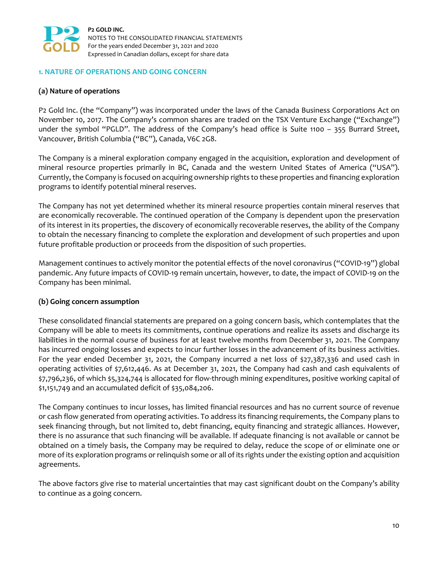

#### **1. NATURE OF OPERATIONS AND GOING CONCERN**

# **(a) Nature of operations**

P2 Gold Inc. (the "Company") was incorporated under the laws of the Canada Business Corporations Act on November 10, 2017. The Company's common shares are traded on the TSX Venture Exchange ("Exchange") under the symbol "PGLD". The address of the Company's head office is Suite 1100 – 355 Burrard Street, Vancouver, British Columbia ("BC"), Canada, V6C 2G8.

The Company is a mineral exploration company engaged in the acquisition, exploration and development of mineral resource properties primarily in BC, Canada and the western United States of America ("USA"). Currently, the Company is focused on acquiring ownership rights to these properties and financing exploration programs to identify potential mineral reserves.

The Company has not yet determined whether its mineral resource properties contain mineral reserves that are economically recoverable. The continued operation of the Company is dependent upon the preservation of its interest in its properties, the discovery of economically recoverable reserves, the ability of the Company to obtain the necessary financing to complete the exploration and development of such properties and upon future profitable production or proceeds from the disposition of such properties.

Management continues to actively monitor the potential effects of the novel coronavirus ("COVID-19") global pandemic. Any future impacts of COVID‐19 remain uncertain, however, to date, the impact of COVID‐19 on the Company has been minimal.

# **(b) Going concern assumption**

These consolidated financial statements are prepared on a going concern basis, which contemplates that the Company will be able to meets its commitments, continue operations and realize its assets and discharge its liabilities in the normal course of business for at least twelve months from December 31, 2021. The Company has incurred ongoing losses and expects to incur further losses in the advancement of its business activities. For the year ended December 31, 2021, the Company incurred a net loss of \$27,387,336 and used cash in operating activities of \$7,612,446. As at December 31, 2021, the Company had cash and cash equivalents of \$7,796,236, of which \$5,324,744 is allocated for flow‐through mining expenditures, positive working capital of \$1,151,749 and an accumulated deficit of \$35,084,206.

The Company continues to incur losses, has limited financial resources and has no current source of revenue or cash flow generated from operating activities. To address its financing requirements, the Company plans to seek financing through, but not limited to, debt financing, equity financing and strategic alliances. However, there is no assurance that such financing will be available. If adequate financing is not available or cannot be obtained on a timely basis, the Company may be required to delay, reduce the scope of or eliminate one or more of its exploration programs or relinquish some or all of its rights under the existing option and acquisition agreements.

The above factors give rise to material uncertainties that may cast significant doubt on the Company's ability to continue as a going concern.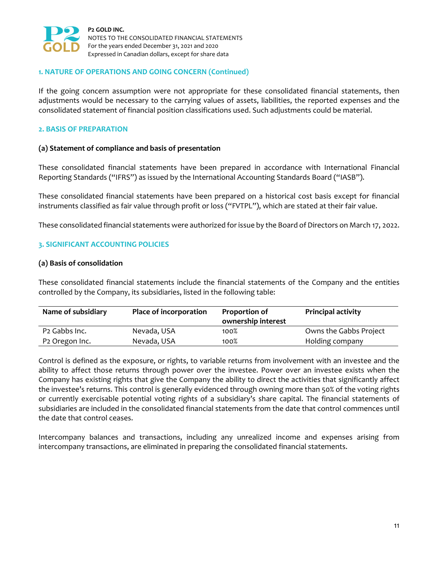

#### **1. NATURE OF OPERATIONS AND GOING CONCERN (Continued)**

If the going concern assumption were not appropriate for these consolidated financial statements, then adjustments would be necessary to the carrying values of assets, liabilities, the reported expenses and the consolidated statement of financial position classifications used. Such adjustments could be material.

# **2. BASIS OF PREPARATION**

#### **(a) Statement of compliance and basis of presentation**

These consolidated financial statements have been prepared in accordance with International Financial Reporting Standards ("IFRS") as issued by the International Accounting Standards Board ("IASB").

These consolidated financial statements have been prepared on a historical cost basis except for financial instruments classified as fair value through profit or loss ("FVTPL"), which are stated at their fair value.

These consolidated financial statements were authorized forissue by the Board of Directors on March 17, 2022.

#### **3. SIGNIFICANT ACCOUNTING POLICIES**

#### **(a) Basis of consolidation**

These consolidated financial statements include the financial statements of the Company and the entities controlled by the Company, its subsidiaries, listed in the following table:

| Name of subsidiary         | Place of incorporation | Proportion of<br>ownership interest | <b>Principal activity</b> |
|----------------------------|------------------------|-------------------------------------|---------------------------|
| P <sub>2</sub> Gabbs Inc.  | Nevada, USA            | 100%                                | Owns the Gabbs Project    |
| P <sub>2</sub> Oregon Inc. | Nevada, USA            | 100%                                | Holding company           |

Control is defined as the exposure, or rights, to variable returns from involvement with an investee and the ability to affect those returns through power over the investee. Power over an investee exists when the Company has existing rights that give the Company the ability to direct the activities that significantly affect the investee's returns. This control is generally evidenced through owning more than 50% of the voting rights or currently exercisable potential voting rights of a subsidiary's share capital. The financial statements of subsidiaries are included in the consolidated financial statements from the date that control commences until the date that control ceases.

Intercompany balances and transactions, including any unrealized income and expenses arising from intercompany transactions, are eliminated in preparing the consolidated financial statements.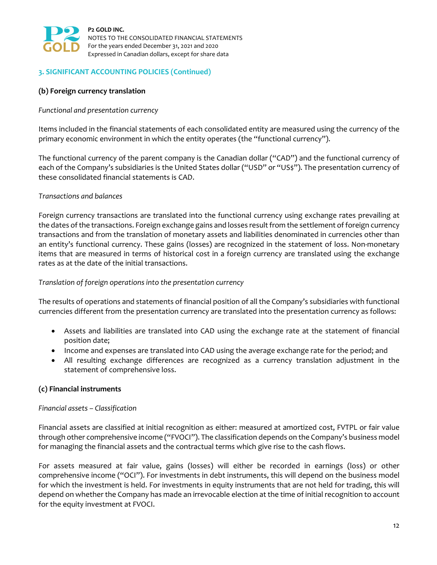

# **(b) Foreign currency translation**

# *Functional and presentation currency*

Items included in the financial statements of each consolidated entity are measured using the currency of the primary economic environment in which the entity operates (the "functional currency").

The functional currency of the parent company is the Canadian dollar ("CAD") and the functional currency of each of the Company's subsidiaries is the United States dollar ("USD" or "US\$"). The presentation currency of these consolidated financial statements is CAD.

# *Transactions and balances*

Foreign currency transactions are translated into the functional currency using exchange rates prevailing at the dates of the transactions. Foreign exchange gains and losses result from the settlement of foreign currency transactions and from the translation of monetary assets and liabilities denominated in currencies other than an entity's functional currency. These gains (losses) are recognized in the statement of loss. Non-monetary items that are measured in terms of historical cost in a foreign currency are translated using the exchange rates as at the date of the initial transactions.

#### *Translation of foreign operations into the presentation currency*

The results of operations and statements of financial position of all the Company's subsidiaries with functional currencies different from the presentation currency are translated into the presentation currency as follows:

- Assets and liabilities are translated into CAD using the exchange rate at the statement of financial position date;
- Income and expenses are translated into CAD using the average exchange rate for the period; and
- All resulting exchange differences are recognized as a currency translation adjustment in the statement of comprehensive loss.

# **(c) Financial instruments**

# *Financial assets – Classification*

Financial assets are classified at initial recognition as either: measured at amortized cost, FVTPL or fair value through other comprehensive income ("FVOCI"). The classification depends on the Company's business model for managing the financial assets and the contractual terms which give rise to the cash flows.

For assets measured at fair value, gains (losses) will either be recorded in earnings (loss) or other comprehensive income ("OCI"). For investments in debt instruments, this will depend on the business model for which the investment is held. For investments in equity instruments that are not held for trading, this will depend on whether the Company has made an irrevocable election at the time of initial recognition to account for the equity investment at FVOCI.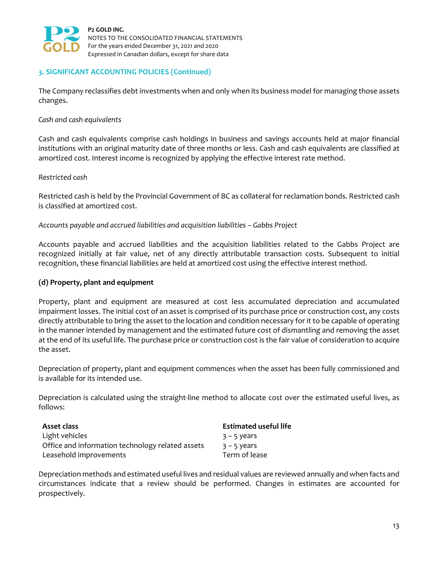

The Company reclassifies debt investments when and only when its business model for managing those assets changes.

#### *Cash and cash equivalents*

Cash and cash equivalents comprise cash holdings in business and savings accounts held at major financial institutions with an original maturity date of three months or less. Cash and cash equivalents are classified at amortized cost. Interest income is recognized by applying the effective interest rate method.

#### *Restricted cash*

Restricted cash is held by the Provincial Government of BC as collateral for reclamation bonds. Restricted cash is classified at amortized cost.

#### *Accounts payable and accrued liabilities and acquisition liabilities – Gabbs Project*

Accounts payable and accrued liabilities and the acquisition liabilities related to the Gabbs Project are recognized initially at fair value, net of any directly attributable transaction costs. Subsequent to initial recognition, these financial liabilities are held at amortized cost using the effective interest method.

# **(d) Property, plant and equipment**

Property, plant and equipment are measured at cost less accumulated depreciation and accumulated impairment losses. The initial cost of an asset is comprised of its purchase price or construction cost, any costs directly attributable to bring the asset to the location and condition necessary for it to be capable of operating in the manner intended by management and the estimated future cost of dismantling and removing the asset at the end of its useful life. The purchase price or construction cost is the fair value of consideration to acquire the asset.

Depreciation of property, plant and equipment commences when the asset has been fully commissioned and is available for its intended use.

Depreciation is calculated using the straight‐line method to allocate cost over the estimated useful lives, as follows:

| Asset class                                      | <b>Estimated useful life</b> |
|--------------------------------------------------|------------------------------|
| Light vehicles                                   | 3 – 5 years                  |
| Office and information technology related assets | 3 – 5 years                  |
| Leasehold improvements                           | Term of lease                |

Depreciation methods and estimated useful lives and residual values are reviewed annually and when facts and circumstances indicate that a review should be performed. Changes in estimates are accounted for prospectively.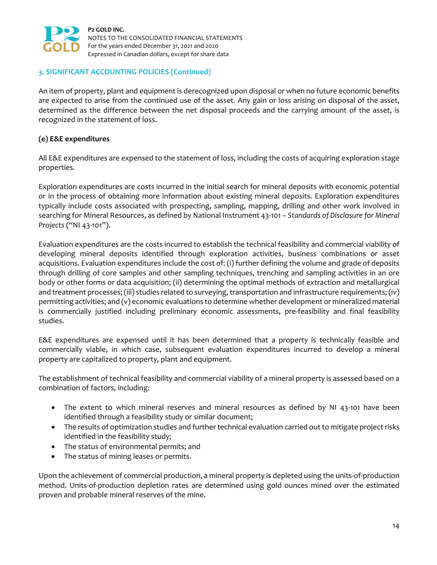

An item of property, plant and equipment is derecognized upon disposal or when no future economic benefits are expected to arise from the continued use of the asset. Any gain or loss arising on disposal of the asset, determined as the difference between the net disposal proceeds and the carrying amount of the asset, is recognized in the statement of loss.

# **(e) E&E expenditures**

All E&E expenditures are expensed to the statement of loss, including the costs of acquiring exploration stage properties.

Exploration expenditures are costs incurred in the initial search for mineral deposits with economic potential or in the process of obtaining more information about existing mineral deposits. Exploration expenditures typically include costs associated with prospecting, sampling, mapping, drilling and other work involved in searching for Mineral Resources, as defined by National Instrument 43‐101 – *Standards of Disclosure for Mineral Projects* ("NI 43‐101").

Evaluation expenditures are the costs incurred to establish the technical feasibility and commercial viability of developing mineral deposits identified through exploration activities, business combinations or asset acquisitions. Evaluation expenditures include the cost of: (i) further defining the volume and grade of deposits through drilling of core samples and other sampling techniques, trenching and sampling activities in an ore body or other forms or data acquisition; (ii) determining the optimal methods of extraction and metallurgical and treatment processes; (iii) studies related to surveying, transportation and infrastructure requirements; (iv) permitting activities; and (v) economic evaluations to determine whether development or mineralized material is commercially justified including preliminary economic assessments, pre-feasibility and final feasibility studies.

E&E expenditures are expensed until it has been determined that a property is technically feasible and commercially viable, in which case, subsequent evaluation expenditures incurred to develop a mineral property are capitalized to property, plant and equipment.

The establishment of technical feasibility and commercial viability of a mineral property is assessed based on a combination of factors, including:

- The extent to which mineral reserves and mineral resources as defined by NI 43-101 have been identified through a feasibility study or similar document;
- The results of optimization studies and further technical evaluation carried out to mitigate project risks identified in the feasibility study;
- The status of environmental permits; and
- The status of mining leases or permits.

Upon the achievement of commercial production, a mineral property is depleted using the units‐of‐production method. Units‐of‐production depletion rates are determined using gold ounces mined over the estimated proven and probable mineral reserves of the mine.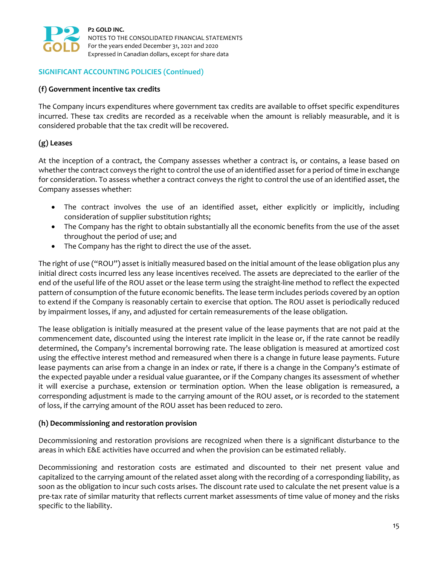

# **(f) Government incentive tax credits**

The Company incurs expenditures where government tax credits are available to offset specific expenditures incurred. These tax credits are recorded as a receivable when the amount is reliably measurable, and it is considered probable that the tax credit will be recovered.

# **(g) Leases**

At the inception of a contract, the Company assesses whether a contract is, or contains, a lease based on whether the contract conveys the right to control the use of an identified asset for a period of time in exchange for consideration. To assess whether a contract conveys the right to control the use of an identified asset, the Company assesses whether:

- The contract involves the use of an identified asset, either explicitly or implicitly, including consideration of supplier substitution rights;
- The Company has the right to obtain substantially all the economic benefits from the use of the asset throughout the period of use; and
- The Company has the right to direct the use of the asset.

The right of use ("ROU") asset is initially measured based on the initial amount of the lease obligation plus any initial direct costs incurred less any lease incentives received. The assets are depreciated to the earlier of the end of the useful life of the ROU asset or the lease term using the straight‐line method to reflect the expected pattern of consumption of the future economic benefits. The lease term includes periods covered by an option to extend if the Company is reasonably certain to exercise that option. The ROU asset is periodically reduced by impairment losses, if any, and adjusted for certain remeasurements of the lease obligation.

The lease obligation is initially measured at the present value of the lease payments that are not paid at the commencement date, discounted using the interest rate implicit in the lease or, if the rate cannot be readily determined, the Company's incremental borrowing rate. The lease obligation is measured at amortized cost using the effective interest method and remeasured when there is a change in future lease payments. Future lease payments can arise from a change in an index or rate, if there is a change in the Company's estimate of the expected payable under a residual value guarantee, or if the Company changes its assessment of whether it will exercise a purchase, extension or termination option. When the lease obligation is remeasured, a corresponding adjustment is made to the carrying amount of the ROU asset, or is recorded to the statement of loss, if the carrying amount of the ROU asset has been reduced to zero.

# **(h) Decommissioning and restoration provision**

Decommissioning and restoration provisions are recognized when there is a significant disturbance to the areas in which E&E activities have occurred and when the provision can be estimated reliably.

Decommissioning and restoration costs are estimated and discounted to their net present value and capitalized to the carrying amount of the related asset along with the recording of a corresponding liability, as soon as the obligation to incur such costs arises. The discount rate used to calculate the net present value is a pre‐tax rate of similar maturity that reflects current market assessments of time value of money and the risks specific to the liability.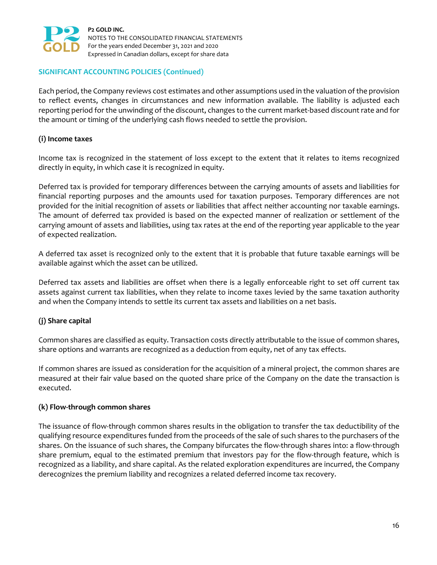

Each period, the Company reviews cost estimates and other assumptions used in the valuation of the provision to reflect events, changes in circumstances and new information available. The liability is adjusted each reporting period for the unwinding of the discount, changes to the current market‐based discount rate and for the amount or timing of the underlying cash flows needed to settle the provision.

# **(i) Income taxes**

Income tax is recognized in the statement of loss except to the extent that it relates to items recognized directly in equity, in which case it is recognized in equity.

Deferred tax is provided for temporary differences between the carrying amounts of assets and liabilities for financial reporting purposes and the amounts used for taxation purposes. Temporary differences are not provided for the initial recognition of assets or liabilities that affect neither accounting nor taxable earnings. The amount of deferred tax provided is based on the expected manner of realization or settlement of the carrying amount of assets and liabilities, using tax rates at the end of the reporting year applicable to the year of expected realization.

A deferred tax asset is recognized only to the extent that it is probable that future taxable earnings will be available against which the asset can be utilized.

Deferred tax assets and liabilities are offset when there is a legally enforceable right to set off current tax assets against current tax liabilities, when they relate to income taxes levied by the same taxation authority and when the Company intends to settle its current tax assets and liabilities on a net basis.

# **(j) Share capital**

Common shares are classified as equity. Transaction costs directly attributable to the issue of common shares, share options and warrants are recognized as a deduction from equity, net of any tax effects.

If common shares are issued as consideration for the acquisition of a mineral project, the common shares are measured at their fair value based on the quoted share price of the Company on the date the transaction is executed.

# **(k) Flow‐through common shares**

The issuance of flow‐through common shares results in the obligation to transfer the tax deductibility of the qualifying resource expenditures funded from the proceeds of the sale of such shares to the purchasers of the shares. On the issuance of such shares, the Company bifurcates the flow-through shares into: a flow-through share premium, equal to the estimated premium that investors pay for the flow-through feature, which is recognized as a liability, and share capital. As the related exploration expenditures are incurred, the Company derecognizes the premium liability and recognizes a related deferred income tax recovery.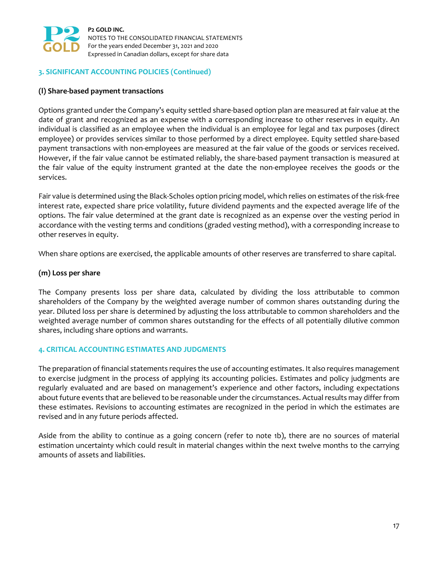

#### **(l) Share‐based payment transactions**

Options granted under the Company's equity settled share‐based option plan are measured at fair value at the date of grant and recognized as an expense with a corresponding increase to other reserves in equity. An individual is classified as an employee when the individual is an employee for legal and tax purposes (direct employee) or provides services similar to those performed by a direct employee. Equity settled share-based payment transactions with non-employees are measured at the fair value of the goods or services received. However, if the fair value cannot be estimated reliably, the share‐based payment transaction is measured at the fair value of the equity instrument granted at the date the non‐employee receives the goods or the services.

Fair value is determined using the Black‐Scholes option pricing model, which relies on estimates of the risk‐free interest rate, expected share price volatility, future dividend payments and the expected average life of the options. The fair value determined at the grant date is recognized as an expense over the vesting period in accordance with the vesting terms and conditions (graded vesting method), with a corresponding increase to other reserves in equity.

When share options are exercised, the applicable amounts of other reserves are transferred to share capital.

# **(m) Loss per share**

The Company presents loss per share data, calculated by dividing the loss attributable to common shareholders of the Company by the weighted average number of common shares outstanding during the year. Diluted loss per share is determined by adjusting the loss attributable to common shareholders and the weighted average number of common shares outstanding for the effects of all potentially dilutive common shares, including share options and warrants.

# **4. CRITICAL ACCOUNTING ESTIMATES AND JUDGMENTS**

The preparation of financial statements requires the use of accounting estimates. It also requires management to exercise judgment in the process of applying its accounting policies. Estimates and policy judgments are regularly evaluated and are based on management's experience and other factors, including expectations about future events that are believed to be reasonable under the circumstances. Actual results may differ from these estimates. Revisions to accounting estimates are recognized in the period in which the estimates are revised and in any future periods affected.

Aside from the ability to continue as a going concern (refer to note 1b), there are no sources of material estimation uncertainty which could result in material changes within the next twelve months to the carrying amounts of assets and liabilities.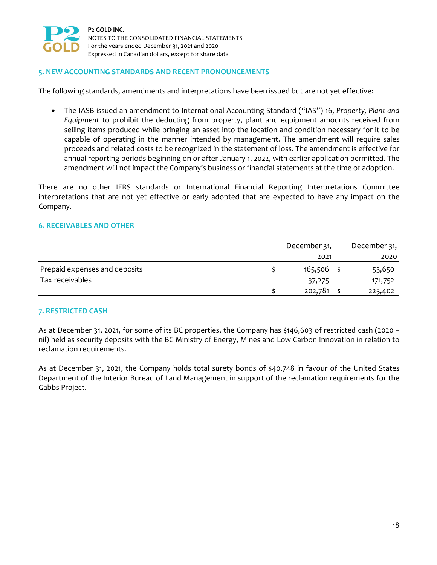

#### **5. NEW ACCOUNTING STANDARDS AND RECENT PRONOUNCEMENTS**

The following standards, amendments and interpretations have been issued but are not yet effective:

 The IASB issued an amendment to International Accounting Standard ("IAS") 16, *Property, Plant and Equipment* to prohibit the deducting from property, plant and equipment amounts received from selling items produced while bringing an asset into the location and condition necessary for it to be capable of operating in the manner intended by management. The amendment will require sales proceeds and related costs to be recognized in the statement of loss. The amendment is effective for annual reporting periods beginning on or after January 1, 2022, with earlier application permitted. The amendment will not impact the Company's business or financial statements at the time of adoption.

There are no other IFRS standards or International Financial Reporting Interpretations Committee interpretations that are not yet effective or early adopted that are expected to have any impact on the Company.

# **6. RECEIVABLES AND OTHER**

|                               | December 31, | December 31, |
|-------------------------------|--------------|--------------|
|                               | 2021         | 2020         |
| Prepaid expenses and deposits | 165,506      | 53,650       |
| Tax receivables               | 37,275       | 171,752      |
|                               | 202,781      | 225,402      |

#### **7. RESTRICTED CASH**

As at December 31, 2021, for some of its BC properties, the Company has \$146,603 of restricted cash (2020 – nil) held as security deposits with the BC Ministry of Energy, Mines and Low Carbon Innovation in relation to reclamation requirements.

As at December 31, 2021, the Company holds total surety bonds of \$40,748 in favour of the United States Department of the Interior Bureau of Land Management in support of the reclamation requirements for the Gabbs Project.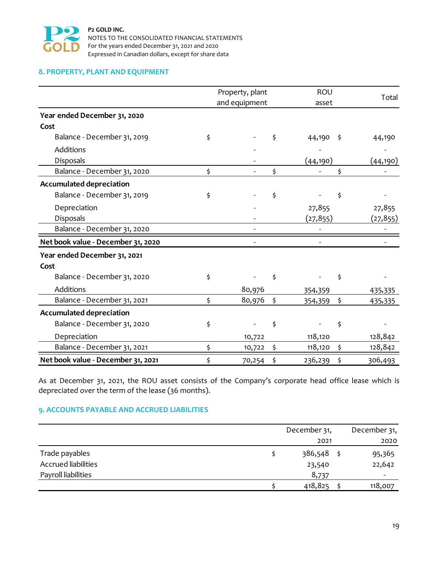

NOTES TO THE CONSOLIDATED FINANCIAL STATEMENTS For the years ended December 31, 2021 and 2020 Expressed in Canadian dollars, except for share data

# **8. PROPERTY, PLANT AND EQUIPMENT**

|                                    |    | Property, plant<br>and equipment |                    | <b>ROU</b> |               | Total     |
|------------------------------------|----|----------------------------------|--------------------|------------|---------------|-----------|
|                                    |    |                                  |                    | asset      |               |           |
| Year ended December 31, 2020       |    |                                  |                    |            |               |           |
| Cost                               |    |                                  |                    |            |               |           |
| Balance - December 31, 2019        | \$ |                                  | \$                 | 44,190     | - \$          | 44,190    |
| <b>Additions</b>                   |    |                                  |                    |            |               |           |
| Disposals                          |    |                                  |                    | (44,190)   |               | (44,190)  |
| Balance - December 31, 2020        | \$ |                                  | \$                 |            | \$            |           |
| <b>Accumulated depreciation</b>    |    |                                  |                    |            |               |           |
| Balance - December 31, 2019        | \$ |                                  | \$                 |            | \$            |           |
| Depreciation                       |    |                                  |                    | 27,855     |               | 27,855    |
| <b>Disposals</b>                   |    |                                  |                    | (27, 855)  |               | (27, 855) |
| Balance - December 31, 2020        |    |                                  |                    |            |               |           |
| Net book value - December 31, 2020 |    |                                  |                    |            |               |           |
| Year ended December 31, 2021       |    |                                  |                    |            |               |           |
| Cost                               |    |                                  |                    |            |               |           |
| Balance - December 31, 2020        | \$ |                                  | \$                 |            | \$            |           |
| <b>Additions</b>                   |    | 80,976                           |                    | 354,359    |               | 435,335   |
| Balance - December 31, 2021        | \$ | 80,976                           | $\ddot{\varsigma}$ | 354,359    | $\frac{1}{2}$ | 435,335   |
| <b>Accumulated depreciation</b>    |    |                                  |                    |            |               |           |
| Balance - December 31, 2020        | \$ |                                  | \$                 |            | \$            |           |
| Depreciation                       |    | 10,722                           |                    | 118,120    |               | 128,842   |
| Balance - December 31, 2021        | \$ | 10,722                           | \$                 | 118,120    | \$            | 128,842   |
| Net book value - December 31, 2021 | \$ | 70,254                           | \$                 | 236,239    | \$            | 306,493   |

As at December 31, 2021, the ROU asset consists of the Company's corporate head office lease which is depreciated over the term of the lease (36 months).

# **9. ACCOUNTS PAYABLE AND ACCRUED LIABILITIES**

|                            | December 31, | December 31, |
|----------------------------|--------------|--------------|
|                            | 2021         | 2020         |
| Trade payables             | 386,548      | 95,365       |
| <b>Accrued liabilities</b> | 23,540       | 22,642       |
| Payroll liabilities        | 8,737        |              |
|                            | 418,825      | 118,007      |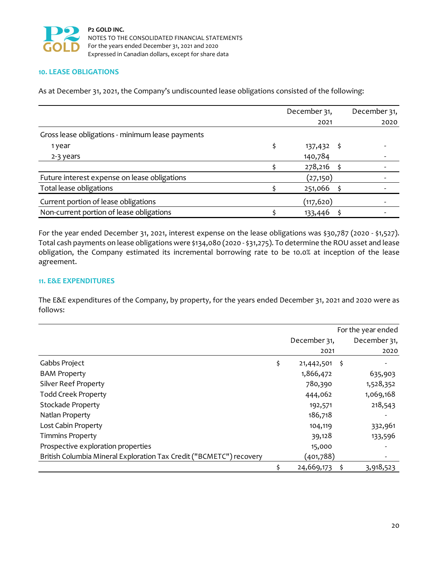

# **10. LEASE OBLIGATIONS**

As at December 31, 2021, the Company's undiscounted lease obligations consisted of the following:

|                                                  | December 31, | December 31, |
|--------------------------------------------------|--------------|--------------|
|                                                  | 2021         | 2020         |
| Gross lease obligations - minimum lease payments |              |              |
| 1 year                                           | $137,432$ \$ |              |
| 2-3 years                                        | 140,784      |              |
|                                                  | 278,216      |              |
| Future interest expense on lease obligations     | (27,150)     |              |
| Total lease obligations                          | 251,066      |              |
| Current portion of lease obligations             | (117,620)    |              |
| Non-current portion of lease obligations         | 133,446      |              |

For the year ended December 31, 2021, interest expense on the lease obligations was \$30,787 (2020 ‐ \$1,527). Total cash payments on lease obligations were \$134,080 (2020 ‐ \$31,275). To determine the ROU asset and lease obligation, the Company estimated its incremental borrowing rate to be 10.0% at inception of the lease agreement.

#### **11. E&E EXPENDITURES**

The E&E expenditures of the Company, by property, for the years ended December 31, 2021 and 2020 were as follows:

|                                                                     |                     | For the year ended |
|---------------------------------------------------------------------|---------------------|--------------------|
|                                                                     | December 31,        | December 31,       |
|                                                                     | 2021                | 2020               |
| Gabbs Project                                                       | \$<br>21,442,501 \$ |                    |
| <b>BAM Property</b>                                                 | 1,866,472           | 635,903            |
| <b>Silver Reef Property</b>                                         | 780,390             | 1,528,352          |
| <b>Todd Creek Property</b>                                          | 444,062             | 1,069,168          |
| Stockade Property                                                   | 192,571             | 218,543            |
| Natlan Property                                                     | 186,718             |                    |
| Lost Cabin Property                                                 | 104,119             | 332,961            |
| <b>Timmins Property</b>                                             | 39,128              | 133,596            |
| Prospective exploration properties                                  | 15,000              |                    |
| British Columbia Mineral Exploration Tax Credit ("BCMETC") recovery | (401,788)           |                    |
|                                                                     | \$<br>24,669,173    | 3,918,523          |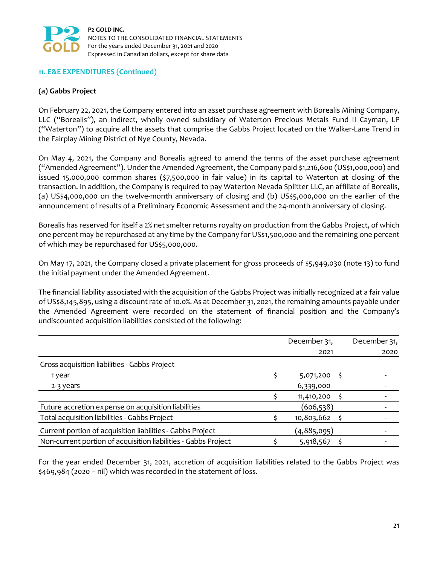

# **11. E&E EXPENDITURES (Continued)**

# **(a) Gabbs Project**

On February 22, 2021, the Company entered into an asset purchase agreement with Borealis Mining Company, LLC ("Borealis"), an indirect, wholly owned subsidiary of Waterton Precious Metals Fund II Cayman, LP ("Waterton") to acquire all the assets that comprise the Gabbs Project located on the Walker‐Lane Trend in the Fairplay Mining District of Nye County, Nevada.

On May 4, 2021, the Company and Borealis agreed to amend the terms of the asset purchase agreement ("Amended Agreement"). Under the Amended Agreement, the Company paid \$1,216,600 (US\$1,000,000) and issued 15,000,000 common shares (\$7,500,000 in fair value) in its capital to Waterton at closing of the transaction. In addition, the Company is required to pay Waterton Nevada Splitter LLC, an affiliate of Borealis, (a) US\$4,000,000 on the twelve‐month anniversary of closing and (b) US\$5,000,000 on the earlier of the announcement of results of a Preliminary Economic Assessment and the 24‐month anniversary of closing.

Borealis has reserved for itself a 2% net smelter returns royalty on production from the Gabbs Project, of which one percent may be repurchased at any time by the Company for US\$1,500,000 and the remaining one percent of which may be repurchased for US\$5,000,000.

On May 17, 2021, the Company closed a private placement for gross proceeds of \$5,949,030 (note 13) to fund the initial payment under the Amended Agreement.

The financial liability associated with the acquisition of the Gabbs Project was initially recognized at a fair value of US\$8,145,895, using a discount rate of 10.0%. As at December 31, 2021, the remaining amounts payable under the Amended Agreement were recorded on the statement of financial position and the Company's undiscounted acquisition liabilities consisted of the following:

|                                                                | December 31, | December 31, |
|----------------------------------------------------------------|--------------|--------------|
|                                                                | 2021         | 2020         |
| Gross acquisition liabilities - Gabbs Project                  |              |              |
| 1 year                                                         | 5,071,200    |              |
| 2-3 years                                                      | 6,339,000    |              |
|                                                                | 11,410,200   |              |
| Future accretion expense on acquisition liabilities            | (606,538)    |              |
| Total acquisition liabilities - Gabbs Project                  | 10,803,662   |              |
| Current portion of acquisition liabilities - Gabbs Project     | (4,885,095)  |              |
| Non-current portion of acquisition liabilities - Gabbs Project | 5,918,567    |              |

For the year ended December 31, 2021, accretion of acquisition liabilities related to the Gabbs Project was \$469,984 (2020 – nil) which was recorded in the statement of loss.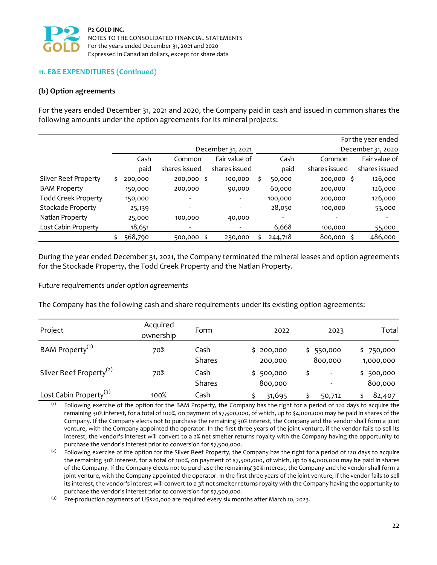

# **11. E&E EXPENDITURES (Continued)**

#### **(b) Option agreements**

For the years ended December 31, 2021 and 2020, the Company paid in cash and issued in common shares the following amounts under the option agreements for its mineral projects:

|                             |   |         |                          |                   |                          |               | For the year ended |
|-----------------------------|---|---------|--------------------------|-------------------|--------------------------|---------------|--------------------|
|                             |   |         |                          | December 31, 2021 |                          |               | December 31, 2020  |
|                             |   | Cash    | Common                   | Fair value of     | Cash                     | Common        | Fair value of      |
|                             |   | paid    | shares issued            | shares issued     | paid                     | shares issued | shares issued      |
| <b>Silver Reef Property</b> | S | 200,000 | 200,000 \$               | 100,000           | 50,000                   | $200,000$ \$  | 126,000            |
| <b>BAM Property</b>         |   | 150,000 | 200,000                  | 90,000            | 60,000                   | 200,000       | 126,000            |
| <b>Todd Creek Property</b>  |   | 150,000 | $\overline{\phantom{0}}$ |                   | 100,000                  | 200,000       | 126,000            |
| Stockade Property           |   | 25,139  | $\overline{\phantom{0}}$ |                   | 28,050                   | 100,000       | 53,000             |
| Natlan Property             |   | 25,000  | 100,000                  | 40,000            | $\overline{\phantom{0}}$ |               |                    |
| Lost Cabin Property         |   | 18,651  | -                        |                   | 6,668                    | 100,000       | 55,000             |
|                             |   | 568,790 | 500,000 \$               | 230,000           | 244,718                  | 800,000       | 486,000            |

During the year ended December 31, 2021, the Company terminated the mineral leases and option agreements for the Stockade Property, the Todd Creek Property and the Natlan Property.

*Future requirements under option agreements*

The Company has the following cash and share requirements under its existing option agreements:

| Project                             | Acquired<br>ownership | Form          | 2022      | 2023      | Total     |
|-------------------------------------|-----------------------|---------------|-----------|-----------|-----------|
| BAM Property <sup>(1)</sup>         | 70%                   | Cash          | \$200,000 | \$550,000 | \$750,000 |
|                                     |                       | <b>Shares</b> | 200,000   | 800,000   | 1,000,000 |
| Silver Reef Property <sup>(2)</sup> | 70%                   | Cash          | \$500,000 |           | 500,000   |
|                                     |                       | <b>Shares</b> | 800,000   |           | 800,000   |
| Lost Cabin Property <sup>(3)</sup>  | 100%                  | Cash          | 31,695    | 50,712    | 82,407    |

Following exercise of the option for the BAM Property, the Company has the right for a period of 120 days to acquire the remaining 30% interest, for a total of 100%, on payment of \$7,500,000, of which, up to \$4,000,000 may be paid in shares of the Company. If the Company elects not to purchase the remaining 30% interest, the Company and the vendor shall form a joint venture, with the Company appointed the operator. In the first three years of the joint venture, if the vendor fails to sell its interest, the vendor's interest will convert to a 2% net smelter returns royalty with the Company having the opportunity to purchase the vendor's interest prior to conversion for \$7,500,000.

 $(2)$  Following exercise of the option for the Silver Reef Property, the Company has the right for a period of 120 days to acquire the remaining 30% interest, for a total of 100%, on payment of \$7,500,000, of which, up to \$4,000,000 may be paid in shares of the Company. If the Company elects not to purchase the remaining 30% interest, the Company and the vendor shall form a joint venture, with the Company appointed the operator. In the first three years of the joint venture, if the vendor fails to sell its interest, the vendor's interest will convert to a 3% net smelter returns royalty with the Company having the opportunity to purchase the vendor's interest prior to conversion for \$7,500,000.

(3) Pre-production payments of US\$20,000 are required every six months after March 10, 2023.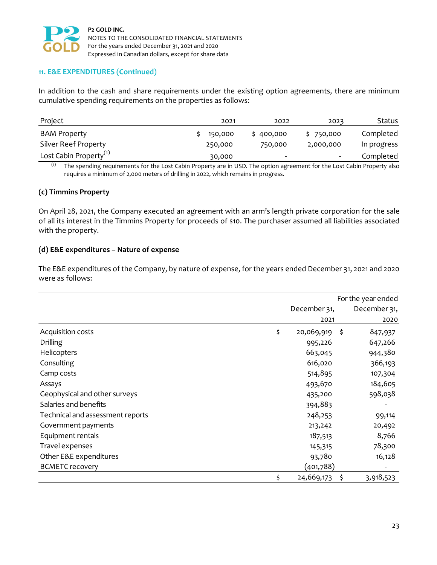

# **11. E&E EXPENDITURES (Continued)**

In addition to the cash and share requirements under the existing option agreements, there are minimum cumulative spending requirements on the properties as follows:

| Project                            | 2021    | 2022                     | 2023                     | <b>Status</b> |
|------------------------------------|---------|--------------------------|--------------------------|---------------|
| <b>BAM Property</b>                | 150,000 | 400,000                  | \$750,000                | Completed     |
| Silver Reef Property               | 250,000 | 750,000                  | 2,000,000                | In progress   |
| Lost Cabin Property <sup>(1)</sup> | 30,000  | $\overline{\phantom{0}}$ | $\overline{\phantom{0}}$ | Completed     |

(1) The spending requirements for the Lost Cabin Property are in USD. The option agreement for the Lost Cabin Property also requires a minimum of 2,000 meters of drilling in 2022, which remains in progress.

# **(c) Timmins Property**

On April 28, 2021, the Company executed an agreement with an arm's length private corporation for the sale of all its interest in the Timmins Property for proceeds of \$10. The purchaser assumed all liabilities associated with the property.

#### **(d) E&E expenditures – Nature of expense**

The E&E expenditures of the Company, by nature of expense, for the years ended December 31, 2021 and 2020 were as follows:

|                                  |                  | For the year ended |
|----------------------------------|------------------|--------------------|
|                                  | December 31,     | December 31,       |
|                                  | 2021             | 2020               |
| Acquisition costs                | \$<br>20,069,919 | 847,937<br>- \$    |
| <b>Drilling</b>                  | 995,226          | 647,266            |
| Helicopters                      | 663,045          | 944,380            |
| Consulting                       | 616,020          | 366,193            |
| Camp costs                       | 514,895          | 107,304            |
| Assays                           | 493,670          | 184,605            |
| Geophysical and other surveys    | 435,200          | 598,038            |
| Salaries and benefits            | 394,883          |                    |
| Technical and assessment reports | 248,253          | 99,114             |
| Government payments              | 213,242          | 20,492             |
| Equipment rentals                | 187,513          | 8,766              |
| Travel expenses                  | 145,315          | 78,300             |
| Other E&E expenditures           | 93,780           | 16,128             |
| <b>BCMETC recovery</b>           | (401,788)        |                    |
|                                  | \$<br>24,669,173 | 3,918,523          |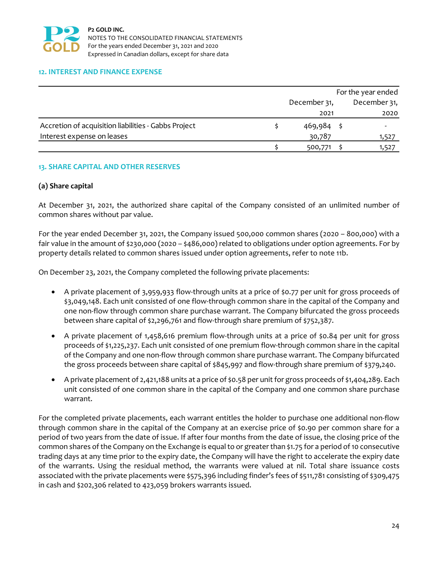

#### **12. INTEREST AND FINANCE EXPENSE**

|                                                      | For the year ended |  |              |  |
|------------------------------------------------------|--------------------|--|--------------|--|
|                                                      | December 31,       |  | December 31, |  |
|                                                      | 2021               |  | 2020         |  |
| Accretion of acquisition liabilities - Gabbs Project | 469,984            |  |              |  |
| Interest expense on leases                           | 30,787             |  | 1,527        |  |
|                                                      | 500,771            |  | 1,527        |  |

# **13. SHARE CAPITAL AND OTHER RESERVES**

#### **(a) Share capital**

At December 31, 2021, the authorized share capital of the Company consisted of an unlimited number of common shares without par value.

For the year ended December 31, 2021, the Company issued 500,000 common shares (2020 – 800,000) with a fair value in the amount of \$230,000 (2020 – \$486,000) related to obligations under option agreements. For by property details related to common shares issued under option agreements, refer to note 11b.

On December 23, 2021, the Company completed the following private placements:

- A private placement of 3,959,933 flow‐through units at a price of \$0.77 per unit for gross proceeds of \$3,049,148. Each unit consisted of one flow‐through common share in the capital of the Company and one non‐flow through common share purchase warrant. The Company bifurcated the gross proceeds between share capital of \$2,296,761 and flow-through share premium of \$752,387.
- A private placement of 1,458,616 premium flow-through units at a price of \$0.84 per unit for gross proceeds of \$1,225,237. Each unit consisted of one premium flow‐through common share in the capital of the Company and one non‐flow through common share purchase warrant. The Company bifurcated the gross proceeds between share capital of \$845,997 and flow-through share premium of \$379,240.
- A private placement of 2,421,188 units at a price of \$0.58 per unitfor gross proceeds of \$1,404,289. Each unit consisted of one common share in the capital of the Company and one common share purchase warrant.

For the completed private placements, each warrant entitles the holder to purchase one additional non‐flow through common share in the capital of the Company at an exercise price of \$0.90 per common share for a period of two years from the date of issue. If after four months from the date of issue, the closing price of the common shares of the Company on the Exchange is equal to or greater than \$1.75 for a period of 10 consecutive trading days at any time prior to the expiry date, the Company will have the right to accelerate the expiry date of the warrants. Using the residual method, the warrants were valued at nil. Total share issuance costs associated with the private placements were \$575,396 including finder's fees of \$511,781 consisting of \$309,475 in cash and \$202,306 related to 423,059 brokers warrants issued.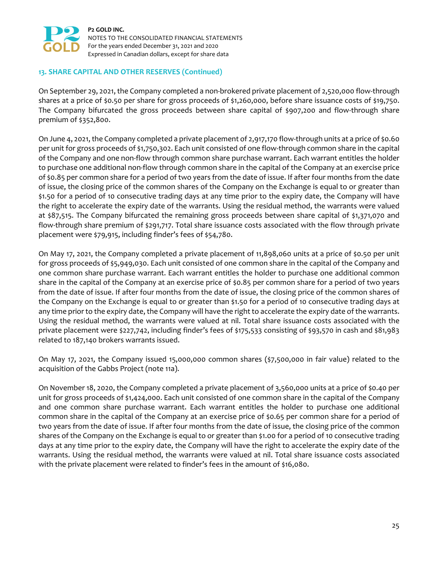

On September 29, 2021, the Company completed a non‐brokered private placement of 2,520,000 flow‐through shares at a price of \$0.50 per share for gross proceeds of \$1,260,000, before share issuance costs of \$19,750. The Company bifurcated the gross proceeds between share capital of \$907,200 and flow‐through share premium of \$352,800.

On June 4, 2021, the Company completed a private placement of 2,917,170 flow-through units at a price of \$0.60 per unit for gross proceeds of \$1,750,302. Each unit consisted of one flow‐through common share in the capital of the Company and one non‐flow through common share purchase warrant. Each warrant entitles the holder to purchase one additional non‐flow through common share in the capital of the Company at an exercise price of \$0.85 per common share for a period of two years from the date of issue. If after four months from the date of issue, the closing price of the common shares of the Company on the Exchange is equal to or greater than \$1.50 for a period of 10 consecutive trading days at any time prior to the expiry date, the Company will have the right to accelerate the expiry date of the warrants. Using the residual method, the warrants were valued at \$87,515. The Company bifurcated the remaining gross proceeds between share capital of \$1,371,070 and flow-through share premium of \$291,717. Total share issuance costs associated with the flow through private placement were \$79,915, including finder's fees of \$54,780.

On May 17, 2021, the Company completed a private placement of 11,898,060 units at a price of \$0.50 per unit for gross proceeds of \$5,949,030. Each unit consisted of one common share in the capital of the Company and one common share purchase warrant. Each warrant entitles the holder to purchase one additional common share in the capital of the Company at an exercise price of \$0.85 per common share for a period of two years from the date of issue. If after four months from the date of issue, the closing price of the common shares of the Company on the Exchange is equal to or greater than \$1.50 for a period of 10 consecutive trading days at any time prior to the expiry date, the Company will have the right to accelerate the expiry date of the warrants. Using the residual method, the warrants were valued at nil. Total share issuance costs associated with the private placement were \$227,742, including finder's fees of \$175,533 consisting of \$93,570 in cash and \$81,983 related to 187,140 brokers warrants issued.

On May 17, 2021, the Company issued 15,000,000 common shares (\$7,500,000 in fair value) related to the acquisition of the Gabbs Project (note 11a).

On November 18, 2020, the Company completed a private placement of 3,560,000 units at a price of \$0.40 per unit for gross proceeds of \$1,424,000. Each unit consisted of one common share in the capital of the Company and one common share purchase warrant. Each warrant entitles the holder to purchase one additional common share in the capital of the Company at an exercise price of \$0.65 per common share for a period of two years from the date of issue. If after four months from the date of issue, the closing price of the common shares of the Company on the Exchange is equal to or greater than \$1.00 for a period of 10 consecutive trading days at any time prior to the expiry date, the Company will have the right to accelerate the expiry date of the warrants. Using the residual method, the warrants were valued at nil. Total share issuance costs associated with the private placement were related to finder's fees in the amount of \$16,080.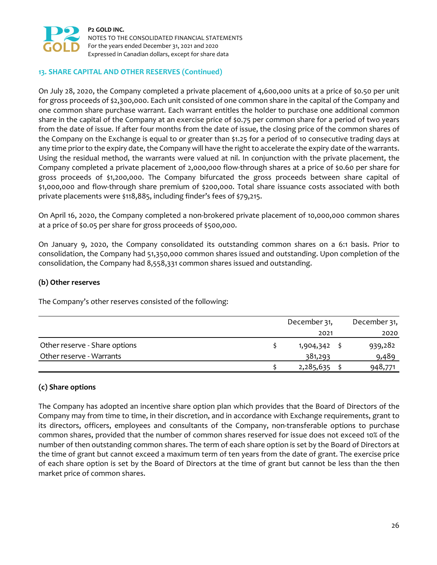

On July 28, 2020, the Company completed a private placement of 4,600,000 units at a price of \$0.50 per unit for gross proceeds of \$2,300,000. Each unit consisted of one common share in the capital of the Company and one common share purchase warrant. Each warrant entitles the holder to purchase one additional common share in the capital of the Company at an exercise price of \$0.75 per common share for a period of two years from the date of issue. If after four months from the date of issue, the closing price of the common shares of the Company on the Exchange is equal to or greater than \$1.25 for a period of 10 consecutive trading days at any time prior to the expiry date, the Company will have the right to accelerate the expiry date of the warrants. Using the residual method, the warrants were valued at nil. In conjunction with the private placement, the Company completed a private placement of 2,000,000 flow‐through shares at a price of \$0.60 per share for gross proceeds of \$1,200,000. The Company bifurcated the gross proceeds between share capital of \$1,000,000 and flow‐through share premium of \$200,000. Total share issuance costs associated with both private placements were \$118,885, including finder's fees of \$79,215.

On April 16, 2020, the Company completed a non-brokered private placement of 10,000,000 common shares at a price of \$0.05 per share for gross proceeds of \$500,000.

On January 9, 2020, the Company consolidated its outstanding common shares on a 6:1 basis. Prior to consolidation, the Company had 51,350,000 common shares issued and outstanding. Upon completion of the consolidation, the Company had 8,558,331 common shares issued and outstanding.

#### **(b) Other reserves**

The Company's other reserves consisted of the following:

|                               | December 31, | December 31, |
|-------------------------------|--------------|--------------|
|                               | 2021         | 2020         |
| Other reserve - Share options | 1,904,342    | 939,282      |
| Other reserve - Warrants      | 381,293      | 9,489        |
|                               | 2,285,635    | 948,771      |

# **(c) Share options**

The Company has adopted an incentive share option plan which provides that the Board of Directors of the Company may from time to time, in their discretion, and in accordance with Exchange requirements, grant to its directors, officers, employees and consultants of the Company, non-transferable options to purchase common shares, provided that the number of common shares reserved for issue does not exceed 10% of the number of then outstanding common shares. The term of each share option is set by the Board of Directors at the time of grant but cannot exceed a maximum term of ten years from the date of grant. The exercise price of each share option is set by the Board of Directors at the time of grant but cannot be less than the then market price of common shares.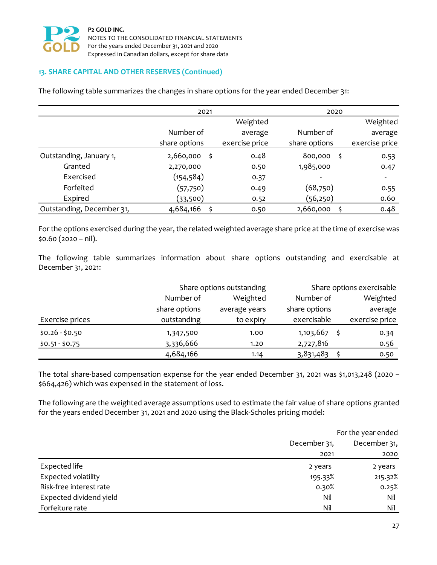

The following table summarizes the changes in share options for the year ended December 31:

|                           | 2021           |                | 2020          |                          |  |
|---------------------------|----------------|----------------|---------------|--------------------------|--|
|                           |                | Weighted       |               | Weighted                 |  |
|                           | Number of      | average        | Number of     | average                  |  |
|                           | share options  | exercise price | share options | exercise price           |  |
| Outstanding, January 1,   | 2,660,000<br>Ś | 0.48           | 800,000<br>Ś  | 0.53                     |  |
| Granted                   | 2,270,000      | 0.50           | 1,985,000     | 0.47                     |  |
| Exercised                 | (154, 584)     | 0.37           |               | $\overline{\phantom{a}}$ |  |
| Forfeited                 | (57, 750)      | 0.49           | (68,750)      | 0.55                     |  |
| Expired                   | (33,500)       | 0.52           | (56, 250)     | 0.60                     |  |
| Outstanding, December 31, | 4,684,166      | 0.50           | 2,660,000     | 0.48                     |  |

For the options exercised during the year, the related weighted average share price at the time of exercise was \$0.60 (2020 – nil).

The following table summarizes information about share options outstanding and exercisable at December 31, 2021:

|                 |               | Share options outstanding |                | Share options exercisable |
|-----------------|---------------|---------------------------|----------------|---------------------------|
|                 | Number of     | Weighted                  | Number of      | Weighted                  |
|                 | share options | average years             | share options  | average                   |
| Exercise prices | outstanding   | to expiry                 | exercisable    | exercise price            |
| $$0.26 - $0.50$ | 1,347,500     | 1.00                      | $1,103,667$ \$ | 0.34                      |
| $$0.51 - $0.75$ | 3,336,666     | 1.20                      | 2,727,816      | 0.56                      |
|                 | 4,684,166     | 1.14                      | 3,831,483      | 0.50                      |

The total share-based compensation expense for the year ended December 31, 2021 was \$1,013,248 (2020 -\$664,426) which was expensed in the statement of loss.

The following are the weighted average assumptions used to estimate the fair value of share options granted for the years ended December 31, 2021 and 2020 using the Black‐Scholes pricing model:

|                         |              | For the year ended |  |  |  |
|-------------------------|--------------|--------------------|--|--|--|
|                         | December 31, | December 31,       |  |  |  |
|                         | 2021         | 2020               |  |  |  |
| Expected life           | 2 years      | 2 years            |  |  |  |
| Expected volatility     | 195.33%      | 215.32%            |  |  |  |
| Risk-free interest rate | 0.30%        | 0.25%              |  |  |  |
| Expected dividend yield | Nil          | Nil                |  |  |  |
| Forfeiture rate         | Nil          | Nil                |  |  |  |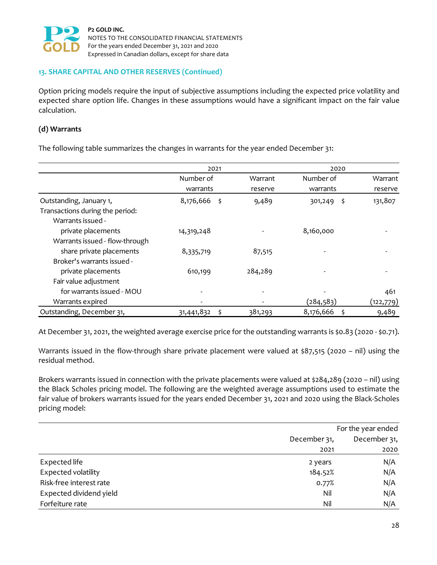

Option pricing models require the input of subjective assumptions including the expected price volatility and expected share option life. Changes in these assumptions would have a significant impact on the fair value calculation.

#### **(d) Warrants**

The following table summarizes the changes in warrants for the year ended December 31:

|                                 | 2021            |         | 2020            |           |
|---------------------------------|-----------------|---------|-----------------|-----------|
|                                 | Number of       | Warrant | Number of       | Warrant   |
|                                 | warrants        | reserve | warrants        | reserve   |
| Outstanding, January 1,         | 8,176,666<br>\$ | 9,489   | 301,249<br>\$   | 131,807   |
| Transactions during the period: |                 |         |                 |           |
| Warrants issued -               |                 |         |                 |           |
| private placements              | 14,319,248      |         | 8,160,000       |           |
| Warrants issued - flow-through  |                 |         |                 |           |
| share private placements        | 8,335,719       | 87,515  |                 |           |
| Broker's warrants issued -      |                 |         |                 |           |
| private placements              | 610,199         | 284,289 |                 |           |
| Fair value adjustment           |                 |         |                 |           |
| for warrants issued - MOU       |                 |         |                 | 461       |
| Warrants expired                |                 |         | (284,583)       | (122,779) |
| Outstanding, December 31,       | 31,441,832<br>Ś | 381,293 | 8,176,666<br>\$ | 9,489     |

At December 31, 2021, the weighted average exercise price for the outstanding warrants is \$0.83 (2020 - \$0.71).

Warrants issued in the flow-through share private placement were valued at \$87,515 (2020 – nil) using the residual method.

Brokers warrants issued in connection with the private placements were valued at \$284,289 (2020 – nil) using the Black Scholes pricing model. The following are the weighted average assumptions used to estimate the fair value of brokers warrants issued for the years ended December 31, 2021 and 2020 using the Black‐Scholes pricing model:

|                         |              | For the year ended |  |  |
|-------------------------|--------------|--------------------|--|--|
|                         | December 31, | December 31,       |  |  |
|                         | 2021         | 2020               |  |  |
| Expected life           | 2 years      | N/A                |  |  |
| Expected volatility     | 184.52%      | N/A                |  |  |
| Risk-free interest rate | 0.77%        | N/A                |  |  |
| Expected dividend yield | Nil          | N/A                |  |  |
| Forfeiture rate         | Nil          | N/A                |  |  |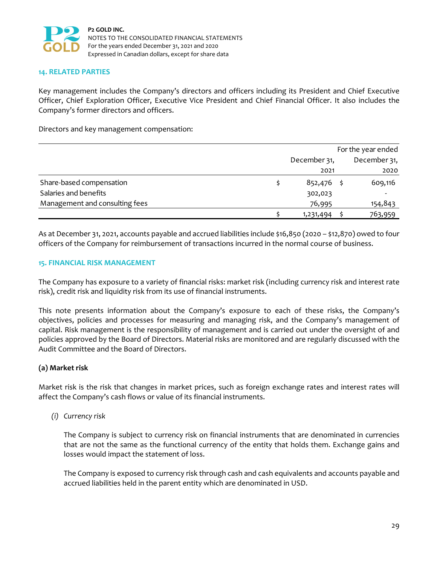

#### **14. RELATED PARTIES**

Key management includes the Company's directors and officers including its President and Chief Executive Officer, Chief Exploration Officer, Executive Vice President and Chief Financial Officer. It also includes the Company's former directors and officers.

Directors and key management compensation:

|                                | For the year ended |  |              |
|--------------------------------|--------------------|--|--------------|
|                                | December 31,       |  | December 31, |
|                                | 2021               |  | 2020         |
| Share-based compensation       | 852,476            |  | 609,116      |
| Salaries and benefits          | 302,023            |  |              |
| Management and consulting fees | 76,995             |  | 154,843      |
|                                | 1,231,494          |  | 763,959      |

As at December 31, 2021, accounts payable and accrued liabilities include \$16,850 (2020 – \$12,870) owed to four officers of the Company for reimbursement of transactions incurred in the normal course of business.

#### **15. FINANCIAL RISK MANAGEMENT**

The Company has exposure to a variety of financial risks: market risk (including currency risk and interest rate risk), credit risk and liquidity risk from its use of financial instruments.

This note presents information about the Company's exposure to each of these risks, the Company's objectives, policies and processes for measuring and managing risk, and the Company's management of capital. Risk management is the responsibility of management and is carried out under the oversight of and policies approved by the Board of Directors. Material risks are monitored and are regularly discussed with the Audit Committee and the Board of Directors.

# **(a) Market risk**

Market risk is the risk that changes in market prices, such as foreign exchange rates and interest rates will affect the Company's cash flows or value of its financial instruments.

*(i) Currency risk*

The Company is subject to currency risk on financial instruments that are denominated in currencies that are not the same as the functional currency of the entity that holds them. Exchange gains and losses would impact the statement of loss.

The Company is exposed to currency risk through cash and cash equivalents and accounts payable and accrued liabilities held in the parent entity which are denominated in USD.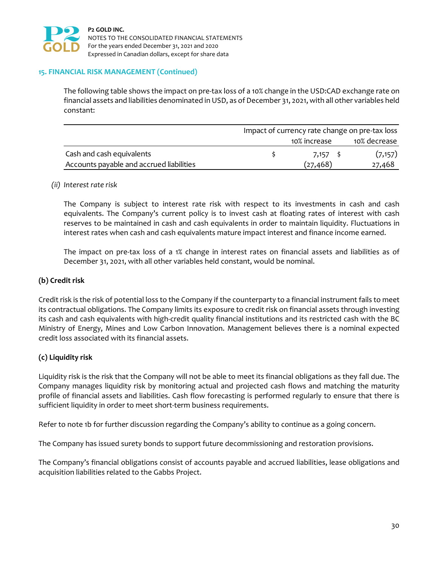

#### **15. FINANCIAL RISK MANAGEMENT (Continued)**

The following table shows the impact on pre-tax loss of a 10% change in the USD:CAD exchange rate on financial assets and liabilities denominated in USD, as of December 31, 2021, with all other variables held constant:

|                                          | Impact of currency rate change on pre-tax loss |              |  |              |
|------------------------------------------|------------------------------------------------|--------------|--|--------------|
|                                          |                                                | 10% increase |  | 10% decrease |
| Cash and cash equivalents                |                                                | 7,157 \$     |  | (7, 157)     |
| Accounts payable and accrued liabilities |                                                | (27,468)     |  | 27,468       |

#### *(ii) Interest rate risk*

The Company is subject to interest rate risk with respect to its investments in cash and cash equivalents. The Company's current policy is to invest cash at floating rates of interest with cash reserves to be maintained in cash and cash equivalents in order to maintain liquidity. Fluctuations in interest rates when cash and cash equivalents mature impact interest and finance income earned.

The impact on pre-tax loss of a 1% change in interest rates on financial assets and liabilities as of December 31, 2021, with all other variables held constant, would be nominal.

#### **(b) Credit risk**

Credit risk is the risk of potential loss to the Company if the counterparty to a financial instrument fails to meet its contractual obligations. The Company limits its exposure to credit risk on financial assets through investing its cash and cash equivalents with high‐credit quality financial institutions and its restricted cash with the BC Ministry of Energy, Mines and Low Carbon Innovation. Management believes there is a nominal expected credit loss associated with its financial assets.

# **(c) Liquidity risk**

Liquidity risk is the risk that the Company will not be able to meet its financial obligations as they fall due. The Company manages liquidity risk by monitoring actual and projected cash flows and matching the maturity profile of financial assets and liabilities. Cash flow forecasting is performed regularly to ensure that there is sufficient liquidity in order to meet short-term business requirements.

Refer to note 1b for further discussion regarding the Company's ability to continue as a going concern.

The Company has issued surety bonds to support future decommissioning and restoration provisions.

The Company's financial obligations consist of accounts payable and accrued liabilities, lease obligations and acquisition liabilities related to the Gabbs Project.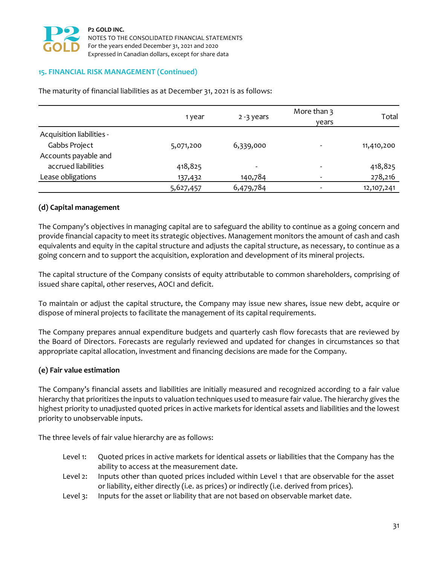

# **15. FINANCIAL RISK MANAGEMENT (Continued)**

The maturity of financial liabilities as at December 31, 2021 is as follows:

|                           | 1 year    | 2-3 years | More than 3<br>vears     | Total        |
|---------------------------|-----------|-----------|--------------------------|--------------|
| Acquisition liabilities - |           |           |                          |              |
| Gabbs Project             | 5,071,200 | 6,339,000 |                          | 11,410,200   |
| Accounts payable and      |           |           |                          |              |
| accrued liabilities       | 418,825   | -         | $\overline{\phantom{a}}$ | 418,825      |
| Lease obligations         | 137,432   | 140,784   | $\overline{\phantom{a}}$ | 278,216      |
|                           | 5,627,457 | 6,479,784 | $\overline{\phantom{a}}$ | 12, 107, 241 |

#### **(d) Capital management**

The Company's objectives in managing capital are to safeguard the ability to continue as a going concern and provide financial capacity to meet its strategic objectives. Management monitors the amount of cash and cash equivalents and equity in the capital structure and adjusts the capital structure, as necessary, to continue as a going concern and to support the acquisition, exploration and development of its mineral projects.

The capital structure of the Company consists of equity attributable to common shareholders, comprising of issued share capital, other reserves, AOCI and deficit.

To maintain or adjust the capital structure, the Company may issue new shares, issue new debt, acquire or dispose of mineral projects to facilitate the management of its capital requirements.

The Company prepares annual expenditure budgets and quarterly cash flow forecasts that are reviewed by the Board of Directors. Forecasts are regularly reviewed and updated for changes in circumstances so that appropriate capital allocation, investment and financing decisions are made for the Company.

#### **(e) Fair value estimation**

The Company's financial assets and liabilities are initially measured and recognized according to a fair value hierarchy that prioritizes the inputs to valuation techniques used to measure fair value. The hierarchy gives the highest priority to unadjusted quoted prices in active markets for identical assets and liabilities and the lowest priority to unobservable inputs.

The three levels of fair value hierarchy are as follows:

- Level 1: Quoted prices in active markets for identical assets or liabilities that the Company has the ability to access at the measurement date.
- Level 2: Inputs other than quoted prices included within Level 1 that are observable for the asset or liability, either directly (i.e. as prices) or indirectly (i.e. derived from prices).
- Level 3: Inputs for the asset or liability that are not based on observable market date.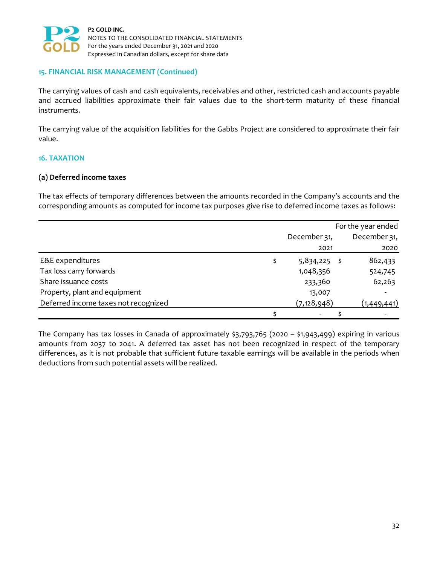

#### **15. FINANCIAL RISK MANAGEMENT (Continued)**

The carrying values of cash and cash equivalents, receivables and other, restricted cash and accounts payable and accrued liabilities approximate their fair values due to the short-term maturity of these financial instruments.

The carrying value of the acquisition liabilities for the Gabbs Project are considered to approximate their fair value.

#### **16. TAXATION**

#### **(a) Deferred income taxes**

The tax effects of temporary differences between the amounts recorded in the Company's accounts and the corresponding amounts as computed for income tax purposes give rise to deferred income taxes as follows:

|                                      | For the year ended       |  |               |
|--------------------------------------|--------------------------|--|---------------|
|                                      | December 31,             |  | December 31,  |
|                                      | 2021                     |  | 2020          |
| E&E expenditures                     | $5,834,225$ \$           |  | 862,433       |
| Tax loss carry forwards              | 1,048,356                |  | 524,745       |
| Share issuance costs                 | 233,360                  |  | 62,263        |
| Property, plant and equipment        | 13,007                   |  |               |
| Deferred income taxes not recognized | (7, 128, 948)            |  | (1, 449, 441) |
|                                      | $\overline{\phantom{a}}$ |  |               |

The Company has tax losses in Canada of approximately \$3,793,765 (2020 – \$1,943,499) expiring in various amounts from 2037 to 2041. A deferred tax asset has not been recognized in respect of the temporary differences, as it is not probable that sufficient future taxable earnings will be available in the periods when deductions from such potential assets will be realized.